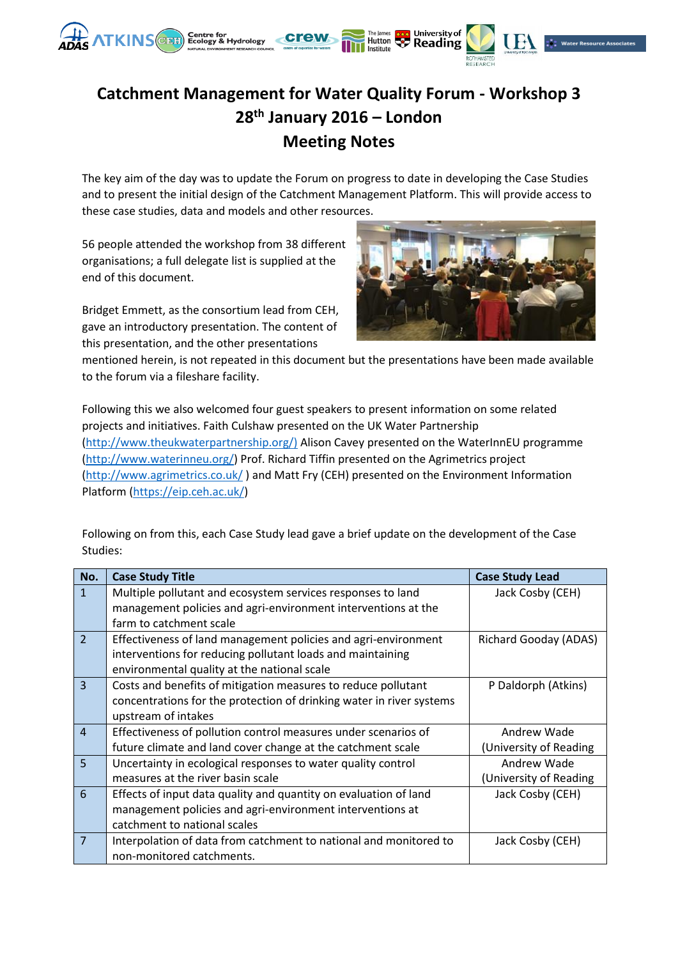

## **Catchment Management for Water Quality Forum - Workshop 3 28th January 2016 – London Meeting Notes**

The key aim of the day was to update the Forum on progress to date in developing the Case Studies and to present the initial design of the Catchment Management Platform. This will provide access to these case studies, data and models and other resources.

56 people attended the workshop from 38 different organisations; a full delegate list is supplied at the end of this document.

Bridget Emmett, as the consortium lead from CEH, gave an introductory presentation. The content of this presentation, and the other presentations



mentioned herein, is not repeated in this document but the presentations have been made available to the forum via a fileshare facility.

Following this we also welcomed four guest speakers to present information on some related projects and initiatives. Faith Culshaw presented on the UK Water Partnership [\(http://www.theukwaterpartnership.org/\)](http://www.theukwaterpartnership.org/) Alison Cavey presented on the WaterInnEU programme [\(http://www.waterinneu.org/\)](http://www.waterinneu.org/) Prof. Richard Tiffin presented on the Agrimetrics project [\(http://www.agrimetrics.co.uk/](http://www.agrimetrics.co.uk/) ) and Matt Fry (CEH) presented on the Environment Information Platform [\(https://eip.ceh.ac.uk/\)](https://eip.ceh.ac.uk/)

Following on from this, each Case Study lead gave a brief update on the development of the Case Studies:

| No.            | <b>Case Study Title</b>                                              | <b>Case Study Lead</b> |
|----------------|----------------------------------------------------------------------|------------------------|
| $\mathbf{1}$   | Multiple pollutant and ecosystem services responses to land          | Jack Cosby (CEH)       |
|                | management policies and agri-environment interventions at the        |                        |
|                | farm to catchment scale                                              |                        |
| $\overline{2}$ | Effectiveness of land management policies and agri-environment       | Richard Gooday (ADAS)  |
|                | interventions for reducing pollutant loads and maintaining           |                        |
|                | environmental quality at the national scale                          |                        |
| $\overline{3}$ | Costs and benefits of mitigation measures to reduce pollutant        | P Daldorph (Atkins)    |
|                | concentrations for the protection of drinking water in river systems |                        |
|                | upstream of intakes                                                  |                        |
| $\overline{4}$ | Effectiveness of pollution control measures under scenarios of       | Andrew Wade            |
|                | future climate and land cover change at the catchment scale          | (University of Reading |
| 5              | Uncertainty in ecological responses to water quality control         | Andrew Wade            |
|                | measures at the river basin scale                                    | (University of Reading |
| 6              | Effects of input data quality and quantity on evaluation of land     | Jack Cosby (CEH)       |
|                | management policies and agri-environment interventions at            |                        |
|                | catchment to national scales                                         |                        |
| $\overline{7}$ | Interpolation of data from catchment to national and monitored to    | Jack Cosby (CEH)       |
|                | non-monitored catchments.                                            |                        |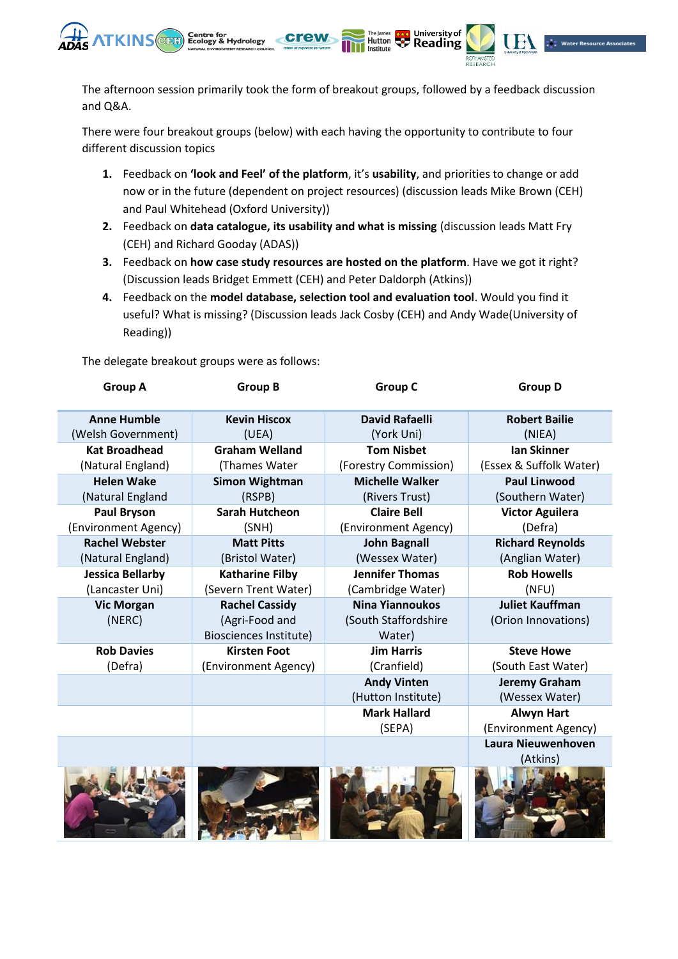

The afternoon session primarily took the form of breakout groups, followed by a feedback discussion and Q&A.

The James Coop University of

There were four breakout groups (below) with each having the opportunity to contribute to four different discussion topics

- **1.** Feedback on **'look and Feel' of the platform**, it's **usability**, and priorities to change or add now or in the future (dependent on project resources) (discussion leads Mike Brown (CEH) and Paul Whitehead (Oxford University))
- **2.** Feedback on **data catalogue, its usability and what is missing** (discussion leads Matt Fry (CEH) and Richard Gooday (ADAS))
- **3.** Feedback on **how case study resources are hosted on the platform**. Have we got it right? (Discussion leads Bridget Emmett (CEH) and Peter Daldorph (Atkins))
- **4.** Feedback on the **model database, selection tool and evaluation tool**. Would you find it useful? What is missing? (Discussion leads Jack Cosby (CEH) and Andy Wade(University of Reading))

The delegate breakout groups were as follows:

| <b>Group A</b>          | <b>Group B</b>         | <b>Group C</b>         | <b>Group D</b>          |
|-------------------------|------------------------|------------------------|-------------------------|
| <b>Anne Humble</b>      | <b>Kevin Hiscox</b>    | <b>David Rafaelli</b>  | <b>Robert Bailie</b>    |
| (Welsh Government)      | (UEA)                  | (York Uni)             | (NIEA)                  |
| <b>Kat Broadhead</b>    | <b>Graham Welland</b>  | <b>Tom Nisbet</b>      | <b>Ian Skinner</b>      |
| (Natural England)       | (Thames Water          | (Forestry Commission)  | (Essex & Suffolk Water) |
| <b>Helen Wake</b>       | <b>Simon Wightman</b>  | <b>Michelle Walker</b> | <b>Paul Linwood</b>     |
| (Natural England        | (RSPB)                 | (Rivers Trust)         | (Southern Water)        |
| <b>Paul Bryson</b>      | <b>Sarah Hutcheon</b>  | <b>Claire Bell</b>     | <b>Victor Aguilera</b>  |
| (Environment Agency)    | (SNH)                  | (Environment Agency)   | (Defra)                 |
| <b>Rachel Webster</b>   | <b>Matt Pitts</b>      | <b>John Bagnall</b>    | <b>Richard Reynolds</b> |
| (Natural England)       | (Bristol Water)        | (Wessex Water)         | (Anglian Water)         |
| <b>Jessica Bellarby</b> | <b>Katharine Filby</b> | <b>Jennifer Thomas</b> | <b>Rob Howells</b>      |
| (Lancaster Uni)         | (Severn Trent Water)   | (Cambridge Water)      | (NFU)                   |
| <b>Vic Morgan</b>       | <b>Rachel Cassidy</b>  | <b>Nina Yiannoukos</b> | <b>Juliet Kauffman</b>  |
| (NERC)                  | (Agri-Food and         | (South Staffordshire   | (Orion Innovations)     |
|                         | Biosciences Institute) | Water)                 |                         |
| <b>Rob Davies</b>       | <b>Kirsten Foot</b>    | <b>Jim Harris</b>      | <b>Steve Howe</b>       |
| (Defra)                 | (Environment Agency)   | (Cranfield)            | (South East Water)      |
|                         |                        | <b>Andy Vinten</b>     | <b>Jeremy Graham</b>    |
|                         |                        | (Hutton Institute)     | (Wessex Water)          |
|                         |                        | <b>Mark Hallard</b>    | <b>Alwyn Hart</b>       |
|                         |                        | (SEPA)                 | (Environment Agency)    |
|                         |                        |                        | Laura Nieuwenhoven      |
|                         |                        |                        | (Atkins)                |
|                         |                        |                        |                         |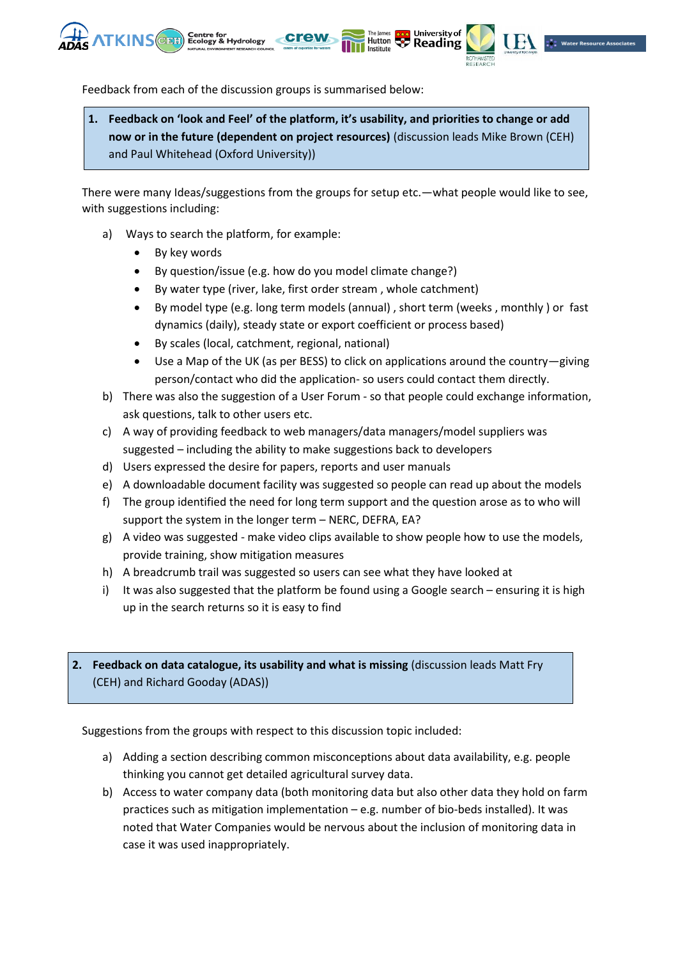



University of

The James **Contract University of** University of

Institute

Feedback from each of the discussion groups is summarised below:

**1. Feedback on 'look and Feel' of the platform, it's usability, and priorities to change or add now or in the future (dependent on project resources)** (discussion leads Mike Brown (CEH) and Paul Whitehead (Oxford University))

There were many Ideas/suggestions from the groups for setup etc.—what people would like to see, with suggestions including:

- a) Ways to search the platform, for example:
	- By key words
	- By question/issue (e.g. how do you model climate change?)
	- By water type (river, lake, first order stream , whole catchment)
	- By model type (e.g. long term models (annual) , short term (weeks , monthly ) or fast dynamics (daily), steady state or export coefficient or process based)
	- By scales (local, catchment, regional, national)
	- Use a Map of the UK (as per BESS) to click on applications around the country—giving person/contact who did the application- so users could contact them directly.
- b) There was also the suggestion of a User Forum so that people could exchange information, ask questions, talk to other users etc.
- c) A way of providing feedback to web managers/data managers/model suppliers was suggested – including the ability to make suggestions back to developers
- d) Users expressed the desire for papers, reports and user manuals
- e) A downloadable document facility was suggested so people can read up about the models
- f) The group identified the need for long term support and the question arose as to who will support the system in the longer term – NERC, DEFRA, EA?
- g) A video was suggested make video clips available to show people how to use the models, provide training, show mitigation measures
- h) A breadcrumb trail was suggested so users can see what they have looked at
- i) It was also suggested that the platform be found using a Google search ensuring it is high up in the search returns so it is easy to find

## **2. Feedback on data catalogue, its usability and what is missing** (discussion leads Matt Fry (CEH) and Richard Gooday (ADAS))

Suggestions from the groups with respect to this discussion topic included:

- a) Adding a section describing common misconceptions about data availability, e.g. people thinking you cannot get detailed agricultural survey data.
- b) Access to water company data (both monitoring data but also other data they hold on farm practices such as mitigation implementation – e.g. number of bio-beds installed). It was noted that Water Companies would be nervous about the inclusion of monitoring data in case it was used inappropriately.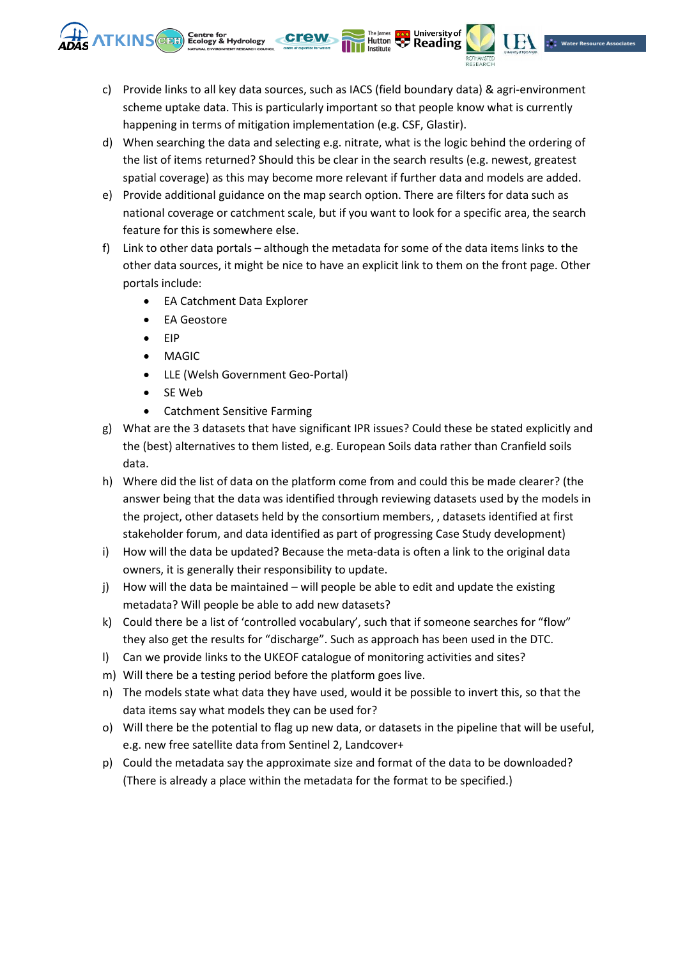c) Provide links to all key data sources, such as IACS (field boundary data) & agri-environment scheme uptake data. This is particularly important so that people know what is currently happening in terms of mitigation implementation (e.g. CSF, Glastir).

The James **Dead** University of

Institute

- d) When searching the data and selecting e.g. nitrate, what is the logic behind the ordering of the list of items returned? Should this be clear in the search results (e.g. newest, greatest spatial coverage) as this may become more relevant if further data and models are added.
- e) Provide additional guidance on the map search option. There are filters for data such as national coverage or catchment scale, but if you want to look for a specific area, the search feature for this is somewhere else.
- f) Link to other data portals although the metadata for some of the data items links to the other data sources, it might be nice to have an explicit link to them on the front page. Other portals include:
	- EA Catchment Data Explorer
	- EA Geostore

**ATKINS** and Ecology & Hydrology

- EIP
- MAGIC
- LLE (Welsh Government Geo-Portal)
- SE Web
- Catchment Sensitive Farming
- g) What are the 3 datasets that have significant IPR issues? Could these be stated explicitly and the (best) alternatives to them listed, e.g. European Soils data rather than Cranfield soils data.
- h) Where did the list of data on the platform come from and could this be made clearer? (the answer being that the data was identified through reviewing datasets used by the models in the project, other datasets held by the consortium members, , datasets identified at first stakeholder forum, and data identified as part of progressing Case Study development)
- i) How will the data be updated? Because the meta-data is often a link to the original data owners, it is generally their responsibility to update.
- j) How will the data be maintained will people be able to edit and update the existing metadata? Will people be able to add new datasets?
- k) Could there be a list of 'controlled vocabulary', such that if someone searches for "flow" they also get the results for "discharge". Such as approach has been used in the DTC.
- l) Can we provide links to the UKEOF catalogue of monitoring activities and sites?
- m) Will there be a testing period before the platform goes live.
- n) The models state what data they have used, would it be possible to invert this, so that the data items say what models they can be used for?
- o) Will there be the potential to flag up new data, or datasets in the pipeline that will be useful, e.g. new free satellite data from Sentinel 2, Landcover+
- p) Could the metadata say the approximate size and format of the data to be downloaded? (There is already a place within the metadata for the format to be specified.)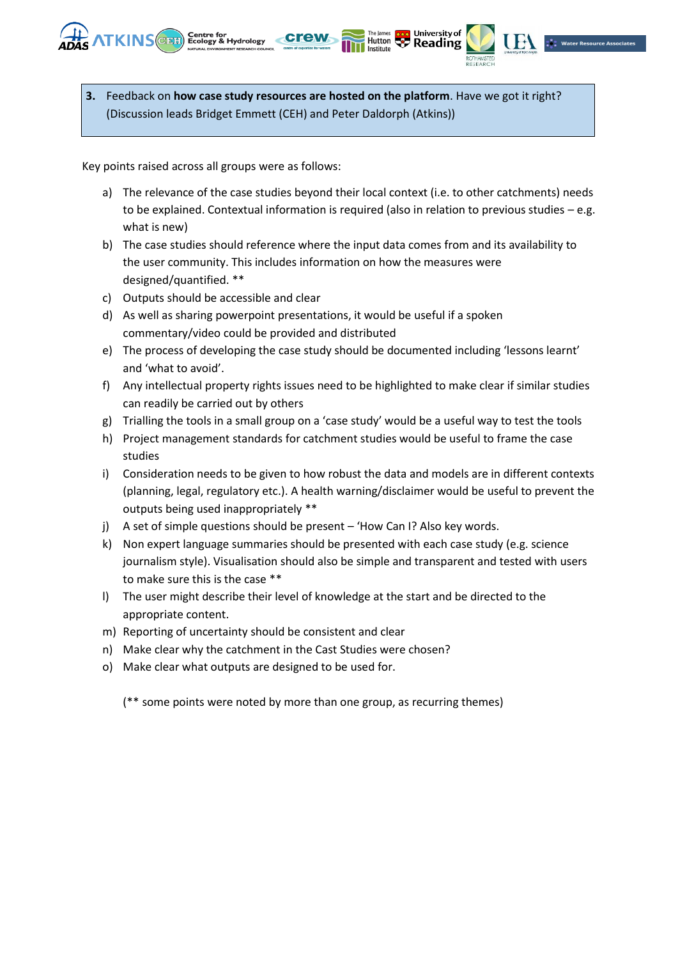**3.** Feedback on **how case study resources are hosted on the platform**. Have we got it right? (Discussion leads Bridget Emmett (CEH) and Peter Daldorph (Atkins))

Key points raised across all groups were as follows:

**NTKINS** CHATE Centre for Hydrology

a) The relevance of the case studies beyond their local context (i.e. to other catchments) needs to be explained. Contextual information is required (also in relation to previous studies – e.g. what is new)

University of

Hutton **Comparison**<br> **Hutton Comparison** 

- b) The case studies should reference where the input data comes from and its availability to the user community. This includes information on how the measures were designed/quantified. \*\*
- c) Outputs should be accessible and clear
- d) As well as sharing powerpoint presentations, it would be useful if a spoken commentary/video could be provided and distributed
- e) The process of developing the case study should be documented including 'lessons learnt' and 'what to avoid'.
- f) Any intellectual property rights issues need to be highlighted to make clear if similar studies can readily be carried out by others
- g) Trialling the tools in a small group on a 'case study' would be a useful way to test the tools
- h) Project management standards for catchment studies would be useful to frame the case studies
- i) Consideration needs to be given to how robust the data and models are in different contexts (planning, legal, regulatory etc.). A health warning/disclaimer would be useful to prevent the outputs being used inappropriately \*\*
- j) A set of simple questions should be present 'How Can I? Also key words.
- k) Non expert language summaries should be presented with each case study (e.g. science journalism style). Visualisation should also be simple and transparent and tested with users to make sure this is the case \*\*
- l) The user might describe their level of knowledge at the start and be directed to the appropriate content.
- m) Reporting of uncertainty should be consistent and clear
- n) Make clear why the catchment in the Cast Studies were chosen?
- o) Make clear what outputs are designed to be used for.

(\*\* some points were noted by more than one group, as recurring themes)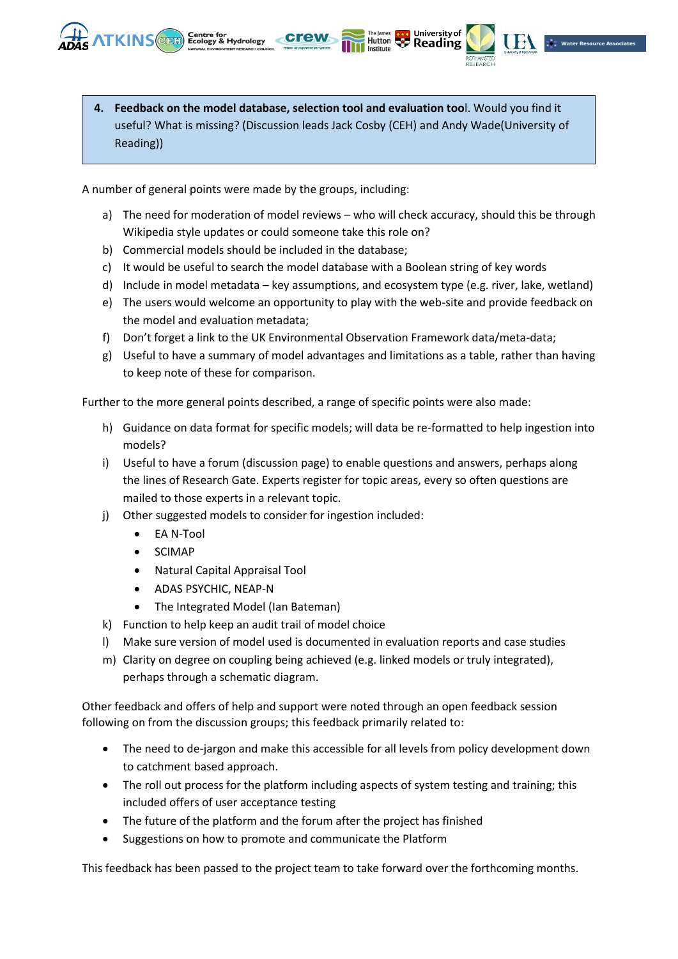

The James **Coop University of**<br>Hutton **Co Reading** 

Institute

A number of general points were made by the groups, including:

**NTKINS** (CENT) Ecology & Hydrology

- a) The need for moderation of model reviews who will check accuracy, should this be through Wikipedia style updates or could someone take this role on?
- b) Commercial models should be included in the database;
- c) It would be useful to search the model database with a Boolean string of key words
- d) Include in model metadata key assumptions, and ecosystem type (e.g. river, lake, wetland)
- e) The users would welcome an opportunity to play with the web-site and provide feedback on the model and evaluation metadata;
- f) Don't forget a link to the UK Environmental Observation Framework data/meta-data;
- g) Useful to have a summary of model advantages and limitations as a table, rather than having to keep note of these for comparison.

Further to the more general points described, a range of specific points were also made:

- h) Guidance on data format for specific models; will data be re-formatted to help ingestion into models?
- i) Useful to have a forum (discussion page) to enable questions and answers, perhaps along the lines of Research Gate. Experts register for topic areas, every so often questions are mailed to those experts in a relevant topic.
- j) Other suggested models to consider for ingestion included:
	- EA N-Tool
	- SCIMAP
	- Natural Capital Appraisal Tool
	- ADAS PSYCHIC, NEAP-N
	- The Integrated Model (Ian Bateman)
- k) Function to help keep an audit trail of model choice
- l) Make sure version of model used is documented in evaluation reports and case studies
- m) Clarity on degree on coupling being achieved (e.g. linked models or truly integrated), perhaps through a schematic diagram.

Other feedback and offers of help and support were noted through an open feedback session following on from the discussion groups; this feedback primarily related to:

- The need to de-jargon and make this accessible for all levels from policy development down to catchment based approach.
- The roll out process for the platform including aspects of system testing and training; this included offers of user acceptance testing
- The future of the platform and the forum after the project has finished
- Suggestions on how to promote and communicate the Platform

This feedback has been passed to the project team to take forward over the forthcoming months.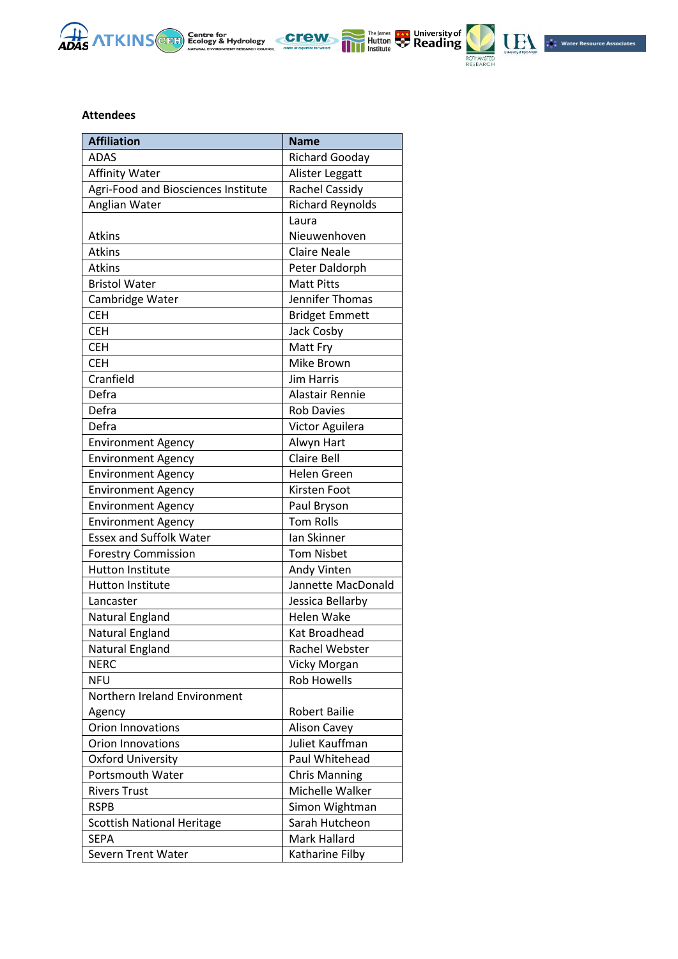







## **Attendees**

| <b>Affiliation</b>                  | <b>Name</b>             |
|-------------------------------------|-------------------------|
| <b>ADAS</b>                         | <b>Richard Gooday</b>   |
| Affinity Water                      | Alister Leggatt         |
| Agri-Food and Biosciences Institute | Rachel Cassidy          |
| Anglian Water                       | <b>Richard Reynolds</b> |
|                                     | Laura                   |
| <b>Atkins</b>                       | Nieuwenhoven            |
| <b>Atkins</b>                       | <b>Claire Neale</b>     |
| <b>Atkins</b>                       | Peter Daldorph          |
| <b>Bristol Water</b>                | <b>Matt Pitts</b>       |
| Cambridge Water                     | Jennifer Thomas         |
| <b>CEH</b>                          | <b>Bridget Emmett</b>   |
| <b>CEH</b>                          | Jack Cosby              |
| <b>CEH</b>                          | Matt Fry                |
| <b>CEH</b>                          | Mike Brown              |
| Cranfield                           | <b>Jim Harris</b>       |
| Defra                               | Alastair Rennie         |
| Defra                               | <b>Rob Davies</b>       |
| Defra                               | Victor Aguilera         |
| <b>Environment Agency</b>           | Alwyn Hart              |
| <b>Environment Agency</b>           | <b>Claire Bell</b>      |
| <b>Environment Agency</b>           | <b>Helen Green</b>      |
| <b>Environment Agency</b>           | Kirsten Foot            |
| <b>Environment Agency</b>           | Paul Bryson             |
| <b>Environment Agency</b>           | <b>Tom Rolls</b>        |
| <b>Essex and Suffolk Water</b>      | Ian Skinner             |
| <b>Forestry Commission</b>          | <b>Tom Nisbet</b>       |
| <b>Hutton Institute</b>             | Andy Vinten             |
| <b>Hutton Institute</b>             | Jannette MacDonald      |
| Lancaster                           | Jessica Bellarby        |
| Natural England                     | Helen Wake              |
| Natural England                     | Kat Broadhead           |
| Natural England                     | Rachel Webster          |
| <b>NERC</b>                         | Vicky Morgan            |
| <b>NFU</b>                          | <b>Rob Howells</b>      |
| Northern Ireland Environment        |                         |
| Agency                              | <b>Robert Bailie</b>    |
| Orion Innovations                   | <b>Alison Cavey</b>     |
| <b>Orion Innovations</b>            | Juliet Kauffman         |
| <b>Oxford University</b>            | Paul Whitehead          |
| Portsmouth Water                    | <b>Chris Manning</b>    |
| <b>Rivers Trust</b>                 | Michelle Walker         |
| <b>RSPB</b>                         | Simon Wightman          |
| <b>Scottish National Heritage</b>   | Sarah Hutcheon          |
| <b>SEPA</b>                         | Mark Hallard            |
| <b>Severn Trent Water</b>           | Katharine Filby         |